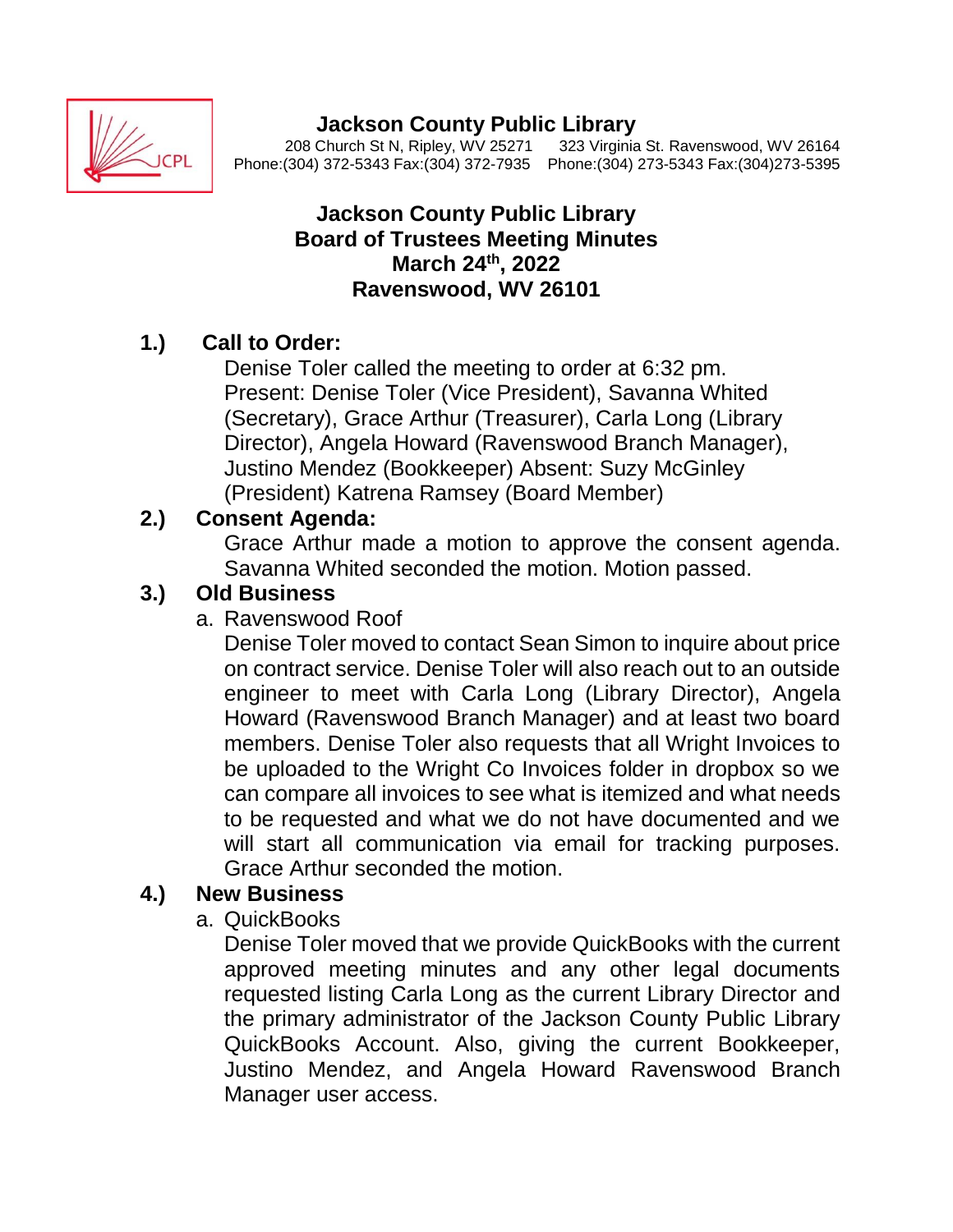

# **Jackson County Public Library**<br>208 Church St N, Ripley, WV 25271 323 Virginia

323 Virginia St. Ravenswood, WV 26164 Phone:(304) 372-5343 Fax:(304) 372-7935 Phone:(304) 273-5343 Fax:(304)273-5395

#### **Jackson County Public Library Board of Trustees Meeting Minutes March 24 th, 2022 Ravenswood, WV 26101**

### **1.) Call to Order:**

Denise Toler called the meeting to order at 6:32 pm. Present: Denise Toler (Vice President), Savanna Whited (Secretary), Grace Arthur (Treasurer), Carla Long (Library Director), Angela Howard (Ravenswood Branch Manager), Justino Mendez (Bookkeeper) Absent: Suzy McGinley (President) Katrena Ramsey (Board Member)

## **2.) Consent Agenda:**

Grace Arthur made a motion to approve the consent agenda. Savanna Whited seconded the motion. Motion passed.

## **3.) Old Business**

a. Ravenswood Roof

Denise Toler moved to contact Sean Simon to inquire about price on contract service. Denise Toler will also reach out to an outside engineer to meet with Carla Long (Library Director), Angela Howard (Ravenswood Branch Manager) and at least two board members. Denise Toler also requests that all Wright Invoices to be uploaded to the Wright Co Invoices folder in dropbox so we can compare all invoices to see what is itemized and what needs to be requested and what we do not have documented and we will start all communication via email for tracking purposes. Grace Arthur seconded the motion.

### **4.) New Business**

a. QuickBooks

Denise Toler moved that we provide QuickBooks with the current approved meeting minutes and any other legal documents requested listing Carla Long as the current Library Director and the primary administrator of the Jackson County Public Library QuickBooks Account. Also, giving the current Bookkeeper, Justino Mendez, and Angela Howard Ravenswood Branch Manager user access.